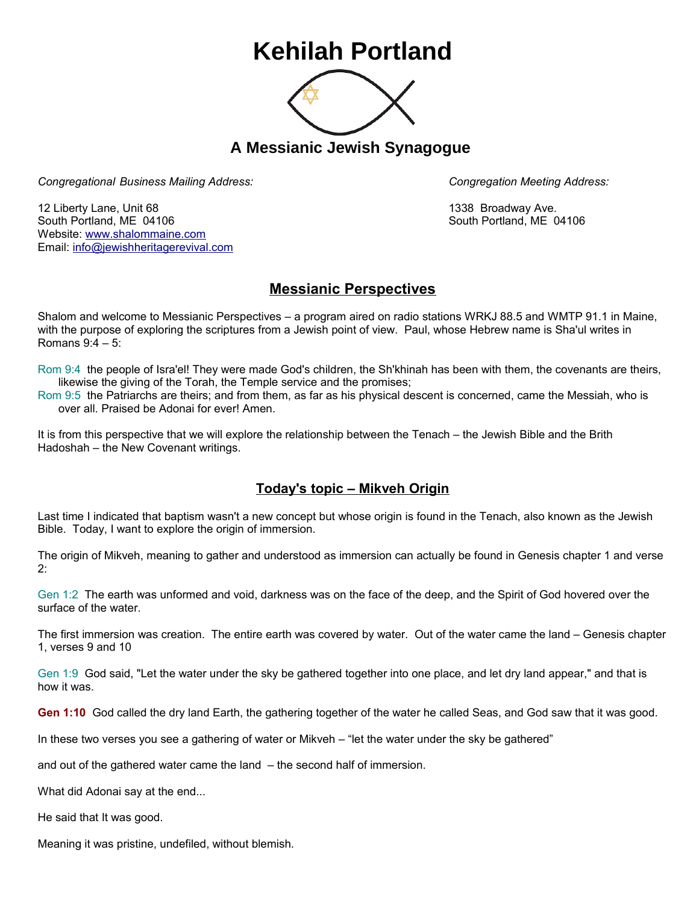## **Kehilah Portland**



**A Messianic Jewish Synagogue** 

*Congregational Business Mailing Address: Congregation Meeting Address:*

12 Liberty Lane, Unit 68 1338 Broadway Ave. South Portland, ME 04106 South Portland, ME 04106 Website: [www.shalommaine.com](http://www.shalommaine.com/) Email: [info@jewishheritagerevival.com](mailto:info@jewishheritagerevival.com) 

## **Messianic Perspectives**

Shalom and welcome to Messianic Perspectives – a program aired on radio stations WRKJ 88.5 and WMTP 91.1 in Maine, with the purpose of exploring the scriptures from a Jewish point of view. Paul, whose Hebrew name is Sha'ul writes in Romans 9:4 – 5:

Rom 9:4 the people of Isra'el! They were made God's children, the Sh'khinah has been with them, the covenants are theirs, likewise the giving of the Torah, the Temple service and the promises;

Rom 9:5 the Patriarchs are theirs; and from them, as far as his physical descent is concerned, came the Messiah, who is over all. Praised be Adonai for ever! Amen.

It is from this perspective that we will explore the relationship between the Tenach – the Jewish Bible and the Brith Hadoshah – the New Covenant writings.

## **Today's topic – Mikveh Origin**

Last time I indicated that baptism wasn't a new concept but whose origin is found in the Tenach, also known as the Jewish Bible. Today, I want to explore the origin of immersion.

The origin of Mikveh, meaning to gather and understood as immersion can actually be found in Genesis chapter 1 and verse 2:

Gen 1:2 The earth was unformed and void, darkness was on the face of the deep, and the Spirit of God hovered over the surface of the water.

The first immersion was creation. The entire earth was covered by water. Out of the water came the land – Genesis chapter 1, verses 9 and 10

Gen 1:9 God said, "Let the water under the sky be gathered together into one place, and let dry land appear," and that is how it was.

**Gen 1:10** God called the dry land Earth, the gathering together of the water he called Seas, and God saw that it was good.

In these two verses you see a gathering of water or Mikveh – "let the water under the sky be gathered"

and out of the gathered water came the land – the second half of immersion.

What did Adonai say at the end...

He said that It was good.

Meaning it was pristine, undefiled, without blemish.